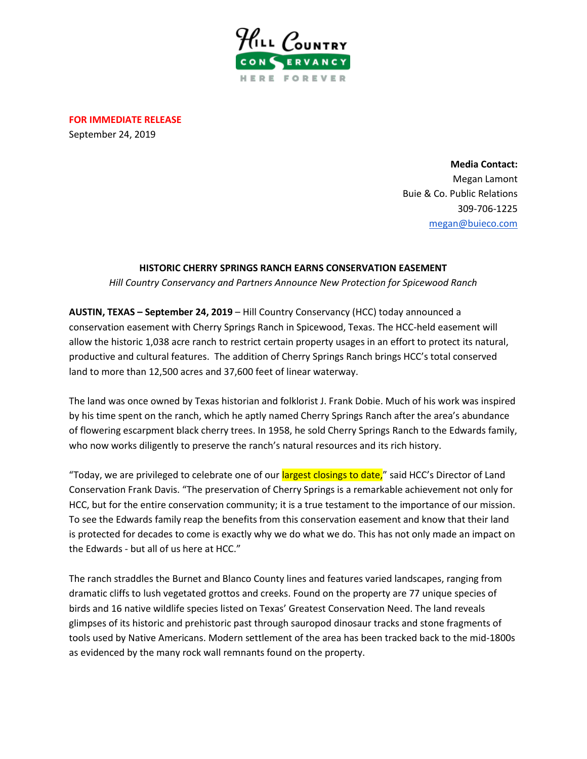

**FOR IMMEDIATE RELEASE** September 24, 2019

> **Media Contact:** Megan Lamont Buie & Co. Public Relations 309-706-1225 [megan@buieco.com](mailto:megan@buieco.com)

## **HISTORIC CHERRY SPRINGS RANCH EARNS CONSERVATION EASEMENT**

*Hill Country Conservancy and Partners Announce New Protection for Spicewood Ranch*

**AUSTIN, TEXAS – September 24, 2019** – Hill Country Conservancy (HCC) today announced a conservation easement with Cherry Springs Ranch in Spicewood, Texas. The HCC-held easement will allow the historic 1,038 acre ranch to restrict certain property usages in an effort to protect its natural, productive and cultural features. The addition of Cherry Springs Ranch brings HCC's total conserved land to more than 12,500 acres and 37,600 feet of linear waterway.

The land was once owned by Texas historian and folklorist J. Frank Dobie. Much of his work was inspired by his time spent on the ranch, which he aptly named Cherry Springs Ranch after the area's abundance of flowering escarpment black cherry trees. In 1958, he sold Cherry Springs Ranch to the Edwards family, who now works diligently to preserve the ranch's natural resources and its rich history.

"Today, we are privileged to celebrate one of our largest closings to date," said HCC's Director of Land Conservation Frank Davis. "The preservation of Cherry Springs is a remarkable achievement not only for HCC, but for the entire conservation community; it is a true testament to the importance of our mission. To see the Edwards family reap the benefits from this conservation easement and know that their land is protected for decades to come is exactly why we do what we do. This has not only made an impact on the Edwards - but all of us here at HCC."

The ranch straddles the Burnet and Blanco County lines and features varied landscapes, ranging from dramatic cliffs to lush vegetated grottos and creeks. Found on the property are 77 unique species of birds and 16 native wildlife species listed on Texas' Greatest Conservation Need. The land reveals glimpses of its historic and prehistoric past through sauropod dinosaur tracks and stone fragments of tools used by Native Americans. Modern settlement of the area has been tracked back to the mid-1800s as evidenced by the many rock wall remnants found on the property.